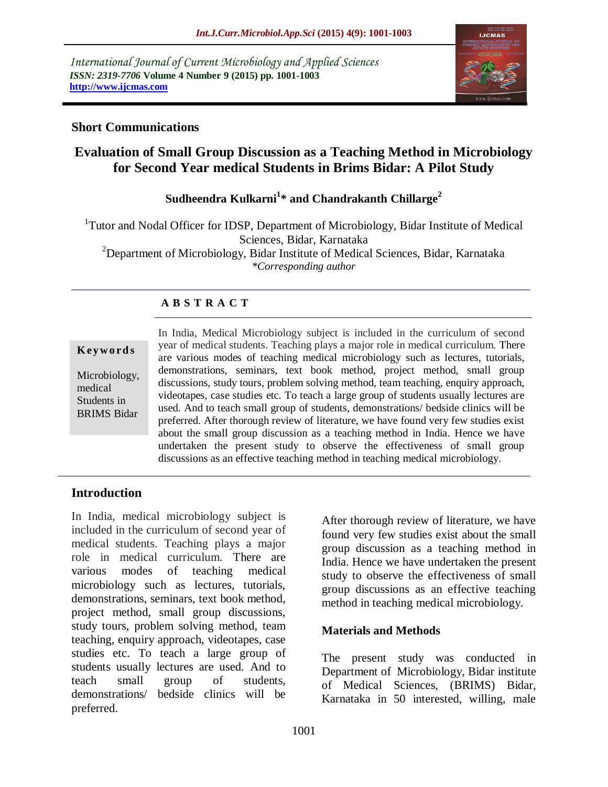*International Journal of Current Microbiology and Applied Sciences ISSN: 2319-7706* **Volume 4 Number 9 (2015) pp. 1001-1003 http://www.ijcmas.com** 



#### **Short Communications**

# **Evaluation of Small Group Discussion as a Teaching Method in Microbiology for Second Year medical Students in Brims Bidar: A Pilot Study**

## **Sudheendra Kulkarni<sup>1</sup> \* and Chandrakanth Chillarge<sup>2</sup>**

<sup>1</sup>Tutor and Nodal Officer for IDSP, Department of Microbiology, Bidar Institute of Medical Sciences, Bidar, Karnataka <sup>2</sup>Department of Microbiology, Bidar Institute of Medical Sciences, Bidar, Karnataka *\*Corresponding author*

## **A B S T R A C T**

#### **K ey w o rd s**

Microbiology, medical Students in BRIMS Bidar In India, Medical Microbiology subject is included in the curriculum of second year of medical students. Teaching plays a major role in medical curriculum. There are various modes of teaching medical microbiology such as lectures, tutorials, demonstrations, seminars, text book method, project method, small group discussions, study tours, problem solving method, team teaching, enquiry approach, videotapes, case studies etc. To teach a large group of students usually lectures are used. And to teach small group of students, demonstrations/ bedside clinics will be preferred. After thorough review of literature, we have found very few studies exist about the small group discussion as a teaching method in India. Hence we have undertaken the present study to observe the effectiveness of small group discussions as an effective teaching method in teaching medical microbiology.

### **Introduction**

In India, medical microbiology subject is included in the curriculum of second year of medical students. Teaching plays a major role in medical curriculum. There are various modes of teaching medical microbiology such as lectures, tutorials, demonstrations, seminars, text book method, project method, small group discussions, study tours, problem solving method, team teaching, enquiry approach, videotapes, case studies etc. To teach a large group of students usually lectures are used. And to teach small group of students, demonstrations/ bedside clinics will be preferred.

After thorough review of literature, we have found very few studies exist about the small group discussion as a teaching method in India. Hence we have undertaken the present study to observe the effectiveness of small group discussions as an effective teaching method in teaching medical microbiology.

#### **Materials and Methods**

The present study was conducted in Department of Microbiology, Bidar institute of Medical Sciences, (BRIMS) Bidar, Karnataka in 50 interested, willing, male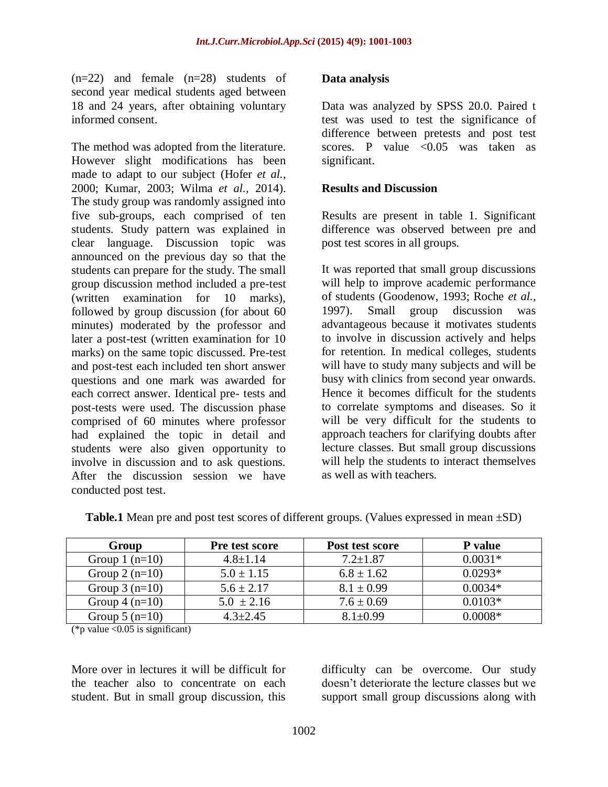(n=22) and female (n=28) students of second year medical students aged between 18 and 24 years, after obtaining voluntary informed consent.

The method was adopted from the literature. However slight modifications has been made to adapt to our subject (Hofer *et al.,* 2000; Kumar, 2003; Wilma *et al.,* 2014). The study group was randomly assigned into five sub-groups, each comprised of ten students. Study pattern was explained in clear language. Discussion topic was announced on the previous day so that the students can prepare for the study. The small group discussion method included a pre-test (written examination for 10 marks), followed by group discussion (for about 60 minutes) moderated by the professor and later a post-test (written examination for 10 marks) on the same topic discussed. Pre-test and post-test each included ten short answer questions and one mark was awarded for each correct answer. Identical pre- tests and post-tests were used. The discussion phase comprised of 60 minutes where professor had explained the topic in detail and students were also given opportunity to involve in discussion and to ask questions. After the discussion session we have conducted post test.

#### **Data analysis**

Data was analyzed by SPSS 20.0. Paired t test was used to test the significance of difference between pretests and post test scores. P value  $\langle 0.05 \rangle$  was taken as significant.

#### **Results and Discussion**

Results are present in table 1. Significant difference was observed between pre and post test scores in all groups.

It was reported that small group discussions will help to improve academic performance of students (Goodenow, 1993; Roche *et al.,* 1997). Small group discussion was advantageous because it motivates students to involve in discussion actively and helps for retention. In medical colleges, students will have to study many subjects and will be busy with clinics from second year onwards. Hence it becomes difficult for the students to correlate symptoms and diseases. So it will be very difficult for the students to approach teachers for clarifying doubts after lecture classes. But small group discussions will help the students to interact themselves as well as with teachers.

| Group            | Pre test score | Post test score | <b>P</b> value |
|------------------|----------------|-----------------|----------------|
| Group $1$ (n=10) | $4.8 \pm 1.14$ | $7.2 \pm 1.87$  | $0.0031*$      |
| Group $2(n=10)$  | $5.0 \pm 1.15$ | $6.8 \pm 1.62$  | $0.0293*$      |
| Group $3(n=10)$  | $5.6 \pm 2.17$ | $8.1 \pm 0.99$  | $0.0034*$      |
| Group $4(n=10)$  | $5.0 \pm 2.16$ | $7.6 \pm 0.69$  | $0.0103*$      |
| Group $5(n=10)$  | $4.3 \pm 2.45$ | $8.1 \pm 0.99$  | $0.0008*$      |

**Table.1** Mean pre and post test scores of different groups. (Values expressed in mean ±SD)

(\*p value  $< 0.05$  is significant)

More over in lectures it will be difficult for the teacher also to concentrate on each student. But in small group discussion, this

difficulty can be overcome. Our study doesn't deteriorate the lecture classes but we support small group discussions along with